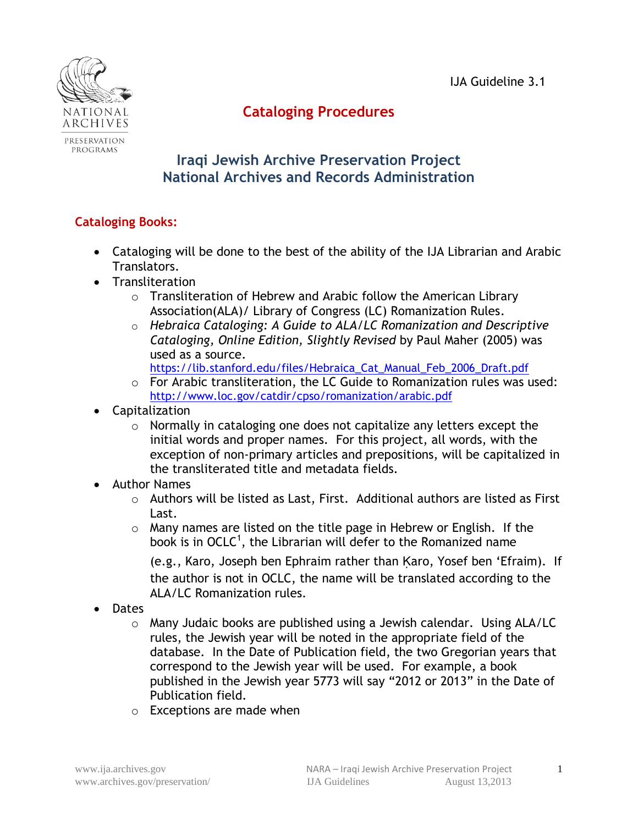IJA Guideline 3.1



# **Cataloging Procedures**

## **Iraqi Jewish Archive Preservation Project National Archives and Records Administration**

## **Cataloging Books:**

- Cataloging will be done to the best of the ability of the IJA Librarian and Arabic Translators.
- Transliteration
	- o Transliteration of Hebrew and Arabic follow the American Library Association(ALA)/ Library of Congress (LC) Romanization Rules.
	- o *Hebraica Cataloging: A Guide to ALA/LC Romanization and Descriptive Cataloging, Online Edition, Slightly Revised* by Paul Maher (2005) was used as a source.
		- https://lib.stanford.edu/files/Hebraica Cat Manual Feb 2006 Draft.pdf
	- o For Arabic transliteration, the LC Guide to Romanization rules was used: <http://www.loc.gov/catdir/cpso/romanization/arabic.pdf>
- Capitalization
	- o Normally in cataloging one does not capitalize any letters except the initial words and proper names. For this project, all words, with the exception of non-primary articles and prepositions, will be capitalized in the transliterated title and metadata fields.
- Author Names
	- o Authors will be listed as Last, First. Additional authors are listed as First Last.
	- o Many names are listed on the title page in Hebrew or English. If the book is in OCLC<sup>1</sup>, the Librarian will defer to the Romanized name

(e.g., Karo, Joseph ben Ephraim rather than Karo, Yosef ben 'Efraim). If the author is not in OCLC, the name will be translated according to the ALA/LC Romanization rules.

- Dates
	- o Many Judaic books are published using a Jewish calendar. Using ALA/LC rules, the Jewish year will be noted in the appropriate field of the database. In the Date of Publication field, the two Gregorian years that correspond to the Jewish year will be used. For example, a book published in the Jewish year 5773 will say "2012 or 2013" in the Date of Publication field.
	- o Exceptions are made when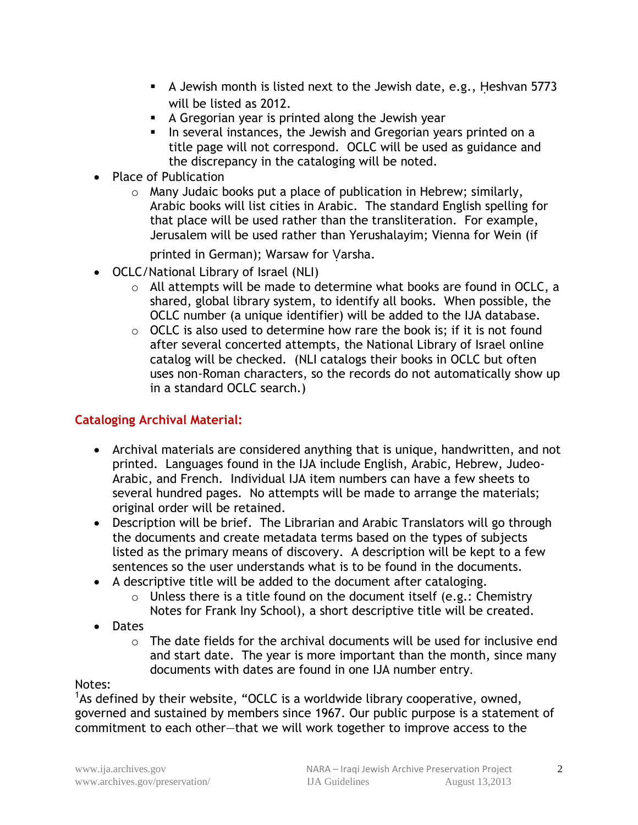- A Jewish month is listed next to the Jewish date, e.g., Ḥeshvan 5773 will be listed as 2012.
- A Gregorian year is printed along the Jewish year
- In several instances, the Jewish and Gregorian years printed on a title page will not correspond. OCLC will be used as guidance and the discrepancy in the cataloging will be noted.
- Place of Publication
	- o Many Judaic books put a place of publication in Hebrew; similarly, Arabic books will list cities in Arabic. The standard English spelling for that place will be used rather than the transliteration. For example, Jerusalem will be used rather than Yerushalayim; Vienna for Wein (if

printed in German); Warsaw for Varsha.

- OCLC/National Library of Israel (NLI)
	- o All attempts will be made to determine what books are found in OCLC, a shared, global library system, to identify all books. When possible, the OCLC number (a unique identifier) will be added to the IJA database.
	- $\circ$  OCLC is also used to determine how rare the book is; if it is not found after several concerted attempts, the National Library of Israel online catalog will be checked. (NLI catalogs their books in OCLC but often uses non-Roman characters, so the records do not automatically show up in a standard OCLC search.)

#### **Cataloging Archival Material:**

- Archival materials are considered anything that is unique, handwritten, and not printed. Languages found in the IJA include English, Arabic, Hebrew, Judeo-Arabic, and French. Individual IJA item numbers can have a few sheets to several hundred pages. No attempts will be made to arrange the materials; original order will be retained.
- Description will be brief. The Librarian and Arabic Translators will go through the documents and create metadata terms based on the types of subjects listed as the primary means of discovery. A description will be kept to a few sentences so the user understands what is to be found in the documents.
- A descriptive title will be added to the document after cataloging.
	- $\circ$  Unless there is a title found on the document itself (e.g.: Chemistry Notes for Frank Iny School), a short descriptive title will be created.
- Dates
	- $\circ$  The date fields for the archival documents will be used for inclusive end and start date. The year is more important than the month, since many documents with dates are found in one IJA number entry.

#### Notes:

<sup>1</sup>As defined by their website, "OCLC is a worldwide library cooperative, owned, governed and sustained by members since 1967. Our public purpose is a statement of commitment to each other—that we will work together to improve access to the